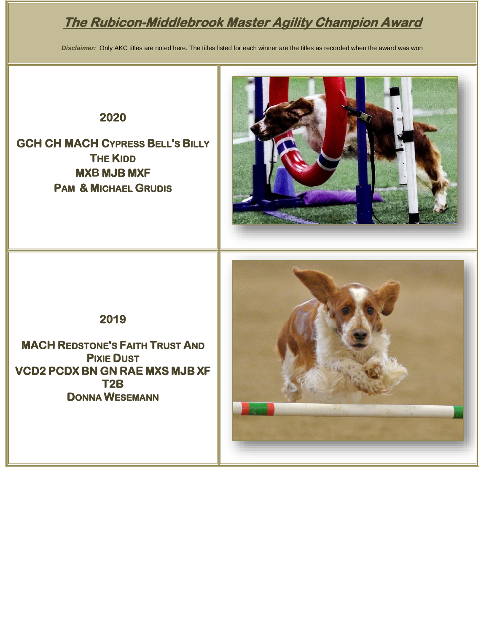# **The Rubicon-Middlebrook Master Agility Champion Award**

*Disclaimer:* Only AKC titles are noted here. The titles listed for each winner are the titles as recorded when the award was won

#### **2020**

**GCH CH MACH CYPRESS BELL'S BILLY THE KIDD MXB MJB MXF PAM & MICHAEL GRUDIS**



**2019** 

**MACH REDSTONE'S FAITH TRUST AND PIXIE DUST VCD2 PCDX BN GN RAE MXS MJB XF T2B DONNA WESEMANN** 

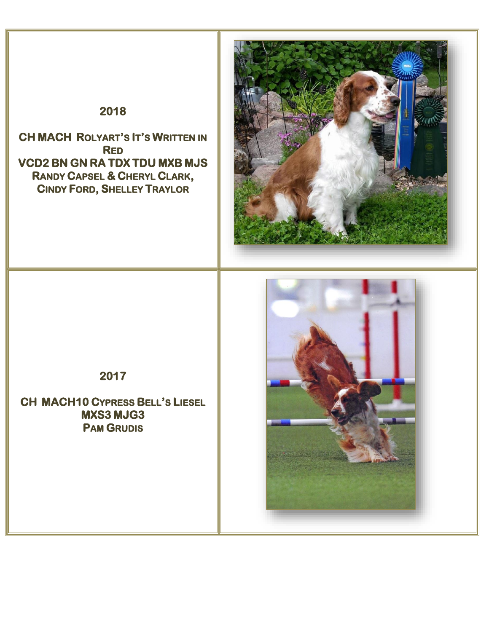# **2018**

**CH MACH ROLYART'S IT'S WRITTEN IN RED VCD2 BN GN RA TDX TDU MXB MJS RANDY CAPSEL & CHERYL CLARK, CINDY FORD, SHELLEY TRAYLOR** 



## **2017**

**CH MACH10 CYPRESS BELL'S LIESEL MXS3 MJG3 PAM GRUDIS** 

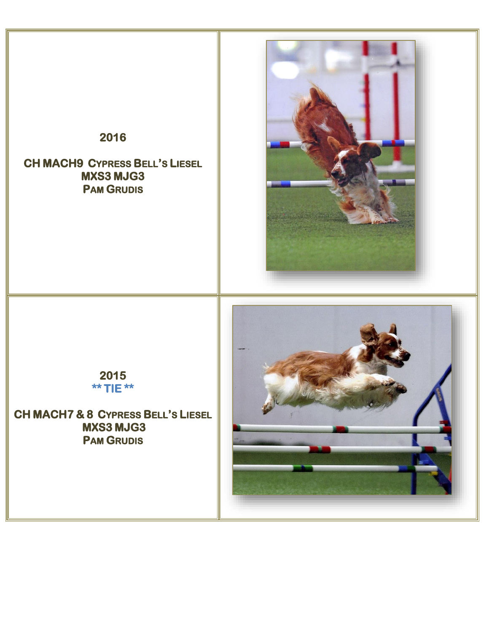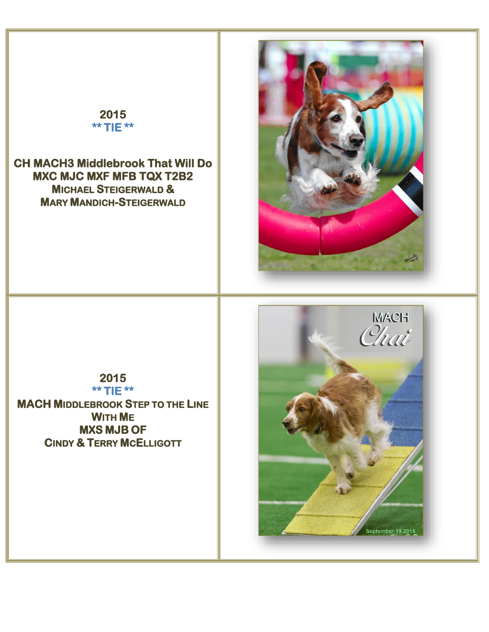# **2015 \*\* TIE \*\***

**CH MACH3 Middlebrook That Will Do MXC MJC MXF MFB TQX T2B2 MICHAEL STEIGERWALD & MARY MANDICH-STEIGERWALD** 



**2015 \*\* TIE \*\* MACH MIDDLEBROOK STEP TO THE LINE WITH ME MXS MJB OF CINDY & TERRY MCELLIGOTT** 

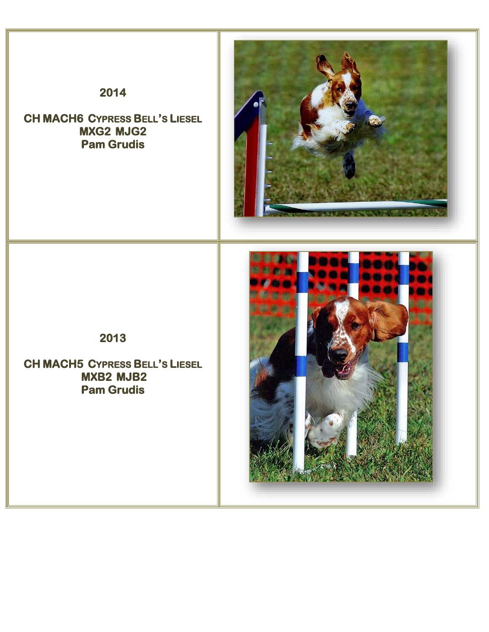### **2014**

**CH MACH6 CYPRESS BELL'S LIESEL MXG2 MJG2 Pam Grudis** 





**CH MACH5 CYPRESS BELL'S LIESEL MXB2 MJB2 Pam Grudis**